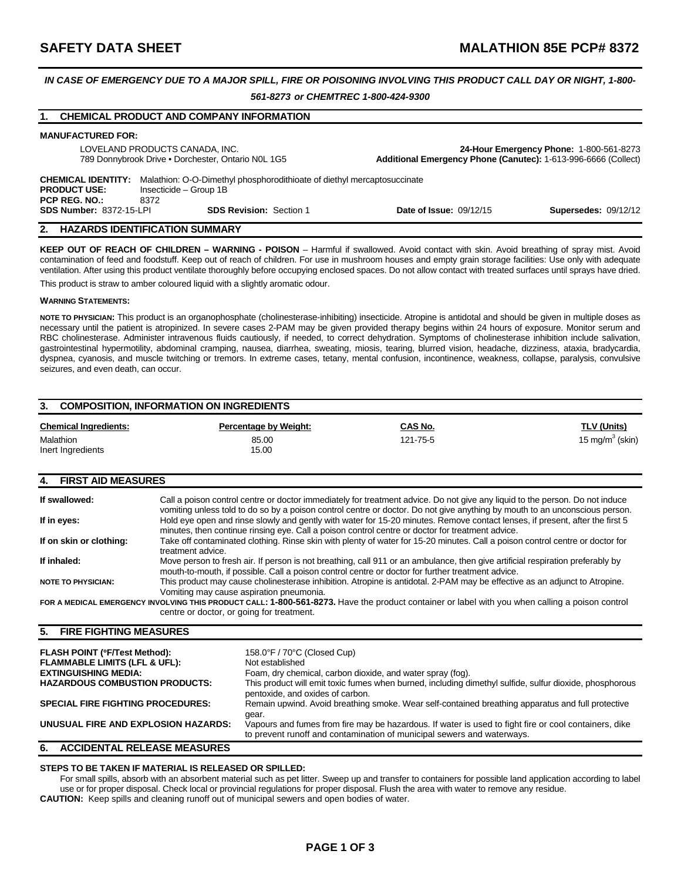# *IN CASE OF EMERGENCY DUE TO A MAJOR SPILL, FIRE OR POISONING INVOLVING THIS PRODUCT CALL DAY OR NIGHT, 1-800- 561-8273 or CHEMTREC 1-800-424-9300*

|                                                                                                                                                                                       | <b>CHEMICAL PRODUCT AND COMPANY INFORMATION</b> |                                |                                                                |
|---------------------------------------------------------------------------------------------------------------------------------------------------------------------------------------|-------------------------------------------------|--------------------------------|----------------------------------------------------------------|
| <b>MANUFACTURED FOR:</b>                                                                                                                                                              |                                                 |                                |                                                                |
| LOVELAND PRODUCTS CANADA, INC.                                                                                                                                                        |                                                 |                                | 24-Hour Emergency Phone: 1-800-561-8273                        |
| 789 Donnybrook Drive . Dorchester, Ontario NOL 1G5                                                                                                                                    |                                                 |                                | Additional Emergency Phone (Canutec): 1-613-996-6666 (Collect) |
| <b>CHEMICAL IDENTITY:</b><br>Malathion: O-O-Dimethyl phosphorodithioate of diethyl mercaptosuccinate<br>Insecticide - Group 1B<br><b>PRODUCT USE:</b><br><b>PCP REG. NO.:</b><br>8372 |                                                 |                                |                                                                |
| <b>SDS Number: 8372-15-LPI</b>                                                                                                                                                        | <b>SDS Revision: Section 1</b>                  | <b>Date of Issue: 09/12/15</b> | <b>Supersedes: 09/12/12</b>                                    |
| 2.                                                                                                                                                                                    | <b>HAZARDS IDENTIFICATION SUMMARY</b>           |                                |                                                                |

**KEEP OUT OF REACH OF CHILDREN – WARNING - POISON** – Harmful if swallowed. Avoid contact with skin. Avoid breathing of spray mist. Avoid contamination of feed and foodstuff. Keep out of reach of children. For use in mushroom houses and empty grain storage facilities: Use only with adequate ventilation. After using this product ventilate thoroughly before occupying enclosed spaces. Do not allow contact with treated surfaces until sprays have dried. This product is straw to amber coloured liquid with a slightly aromatic odour.

#### **WARNING STATEMENTS:**

**NOTE TO PHYSICIAN:** This product is an organophosphate (cholinesterase-inhibiting) insecticide. Atropine is antidotal and should be given in multiple doses as necessary until the patient is atropinized. In severe cases 2-PAM may be given provided therapy begins within 24 hours of exposure. Monitor serum and RBC cholinesterase. Administer intravenous fluids cautiously, if needed, to correct dehydration. Symptoms of cholinesterase inhibition include salivation, gastrointestinal hypermotility, abdominal cramping, nausea, diarrhea, sweating, miosis, tearing, blurred vision, headache, dizziness, ataxia, bradycardia, dyspnea, cyanosis, and muscle twitching or tremors. In extreme cases, tetany, mental confusion, incontinence, weakness, collapse, paralysis, convulsive seizures, and even death, can occur.

| 3.<br><b>COMPOSITION, INFORMATION ON INGREDIENTS</b> |                       |                |                    |  |  |
|------------------------------------------------------|-----------------------|----------------|--------------------|--|--|
| <b>Chemical Ingredients:</b>                         | Percentage by Weight: | <u>CAS No.</u> | <u>TLV (Units)</u> |  |  |
| <b>Malathion</b><br>Inert Ingredients                | 85.00<br>15.00        | 121-75-5       | 15 mg/m $3$ (skin) |  |  |

### **4. FIRST AID MEASURES**

| If swallowed:             | Call a poison control centre or doctor immediately for treatment advice. Do not give any liquid to the person. Do not induce<br>vomiting unless told to do so by a poison control centre or doctor. Do not give anything by mouth to an unconscious person. |
|---------------------------|-------------------------------------------------------------------------------------------------------------------------------------------------------------------------------------------------------------------------------------------------------------|
| If in eyes:               | Hold eye open and rinse slowly and gently with water for 15-20 minutes. Remove contact lenses, if present, after the first 5<br>minutes, then continue rinsing eye. Call a poison control centre or doctor for treatment advice.                            |
| If on skin or clothing:   | Take off contaminated clothing. Rinse skin with plenty of water for 15-20 minutes. Call a poison control centre or doctor for<br>treatment advice.                                                                                                          |
| If inhaled:               | Move person to fresh air. If person is not breathing, call 911 or an ambulance, then give artificial respiration preferably by<br>mouth-to-mouth, if possible. Call a poison control centre or doctor for further treatment advice.                         |
| <b>NOTE TO PHYSICIAN:</b> | This product may cause cholinesterase inhibition. Atropine is antidotal. 2-PAM may be effective as an adjunct to Atropine.<br>Vomiting may cause aspiration pneumonia.                                                                                      |
|                           | FOR A MEDICAL EMERGENCY INVOLVING THIS PRODUCT CALL: 1-800-561-8273. Have the product container or label with you when calling a poison control<br>centre or doctor, or going for treatment.                                                                |

### **5. FIRE FIGHTING MEASURES**

| <b>FLASH POINT (°F/Test Method):</b>     | 158.0°F / 70°C (Closed Cup)                                                                                                                                                     |
|------------------------------------------|---------------------------------------------------------------------------------------------------------------------------------------------------------------------------------|
| <b>FLAMMABLE LIMITS (LFL &amp; UFL):</b> | Not established                                                                                                                                                                 |
| <b>EXTINGUISHING MEDIA:</b>              | Foam, dry chemical, carbon dioxide, and water spray (fog).                                                                                                                      |
| <b>HAZARDOUS COMBUSTION PRODUCTS:</b>    | This product will emit toxic fumes when burned, including dimethyl sulfide, sulfur dioxide, phosphorous<br>pentoxide, and oxides of carbon.                                     |
| <b>SPECIAL FIRE FIGHTING PROCEDURES:</b> | Remain upwind. Avoid breathing smoke. Wear self-contained breathing apparatus and full protective<br>qear.                                                                      |
| UNUSUAL FIRE AND EXPLOSION HAZARDS:      | Vapours and fumes from fire may be hazardous. If water is used to fight fire or cool containers, dike<br>to prevent runoff and contamination of municipal sewers and waterways. |
| <b>ACCIDENTAL RELEASE MEASURES</b><br>6. |                                                                                                                                                                                 |

### **STEPS TO BE TAKEN IF MATERIAL IS RELEASED OR SPILLED:**

For small spills, absorb with an absorbent material such as pet litter. Sweep up and transfer to containers for possible land application according to label use or for proper disposal. Check local or provincial regulations for proper disposal. Flush the area with water to remove any residue. **CAUTION:** Keep spills and cleaning runoff out of municipal sewers and open bodies of water.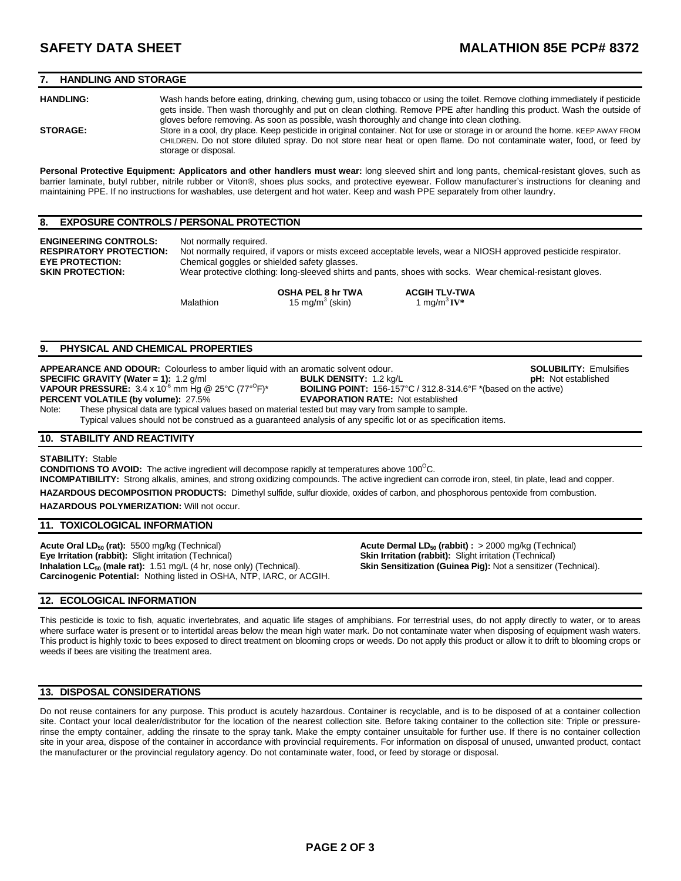### **7. HANDLING AND STORAGE**

**HANDLING:** Wash hands before eating, drinking, chewing gum, using tobacco or using the toilet. Remove clothing immediately if pesticide gets inside. Then wash thoroughly and put on clean clothing. Remove PPE after handling this product. Wash the outside of

gloves before removing. As soon as possible, wash thoroughly and change into clean clothing. **STORAGE:** Store in a cool, dry place. Keep pesticide in original container. Not for use or storage in or around the home. KEEP AWAY FROM CHILDREN. Do not store diluted spray. Do not store near heat or open flame. Do not contaminate water, food, or feed by storage or disposal.

**Personal Protective Equipment: Applicators and other handlers must wear:** long sleeved shirt and long pants, chemical-resistant gloves, such as barrier laminate, butyl rubber, nitrile rubber or Viton®, shoes plus socks, and protective eyewear. Follow manufacturer's instructions for cleaning and maintaining PPE. If no instructions for washables, use detergent and hot water. Keep and wash PPE separately from other laundry.

#### **8. EXPOSURE CONTROLS / PERSONAL PROTECTION**

**ENGINEERING CONTROLS:** Not normally required.<br> **RESPIRATORY PROTECTION:** Not normally required.

**RESPIRATORY PROTECTION:** Not normally required, if vapors or mists exceed acceptable levels, wear a NIOSH approved pesticide respirator.<br>**EYE PROTECTION:** Chemical goggles or shielded safety glasses. Chemical goggles or shielded safety glasses. **SKIN PROTECTION:** Wear protective clothing: long-sleeved shirts and pants, shoes with socks. Wear chemical-resistant gloves.

Malathion  $15 \text{ mg/m}^3$  (skin)

**OSHA PEL 8 hr TWA ACGIH TLV-TWA** 1 mg/m<sup>3</sup>**IV**\*

### **9. PHYSICAL AND CHEMICAL PROPERTIES**

**APPEARANCE AND ODOUR:** Colourless to amber liquid with an aromatic solvent odour. **SOLUBILITY:** Emulsifies **SPECIFIC GRAVITY (Water = 1):** 1.2 g/ml **BULK DENSITY:** 1.2 kg/L **pH:** Not established **VAPOUR PRESSURE:** 3.4 x 10<sup>-6</sup> mm Hg @ 25°C (77°<sup>O</sup>F)<sup>\*</sup> **PERCENT VOLATILE (by volume): 27.5%** 

BOILING POINT: 156-157°C / 312.8-314.6°F \*(based on the active)<br>EVAPORATION RATE: Not established

Note: These physical data are typical values based on material tested but may vary from sample to sample. Typical values should not be construed as a guaranteed analysis of any specific lot or as specification items.

### **10. STABILITY AND REACTIVITY**

#### **STABILITY:** Stable

**CONDITIONS TO AVOID:** The active ingredient will decompose rapidly at temperatures above  $100^{\circ}$ C. **INCOMPATIBILITY:** Strong alkalis, amines, and strong oxidizing compounds. The active ingredient can corrode iron, steel, tin plate, lead and copper.

**HAZARDOUS DECOMPOSITION PRODUCTS:** Dimethyl sulfide, sulfur dioxide, oxides of carbon, and phosphorous pentoxide from combustion.

**HAZARDOUS POLYMERIZATION:** Will not occur.

### **11. TOXICOLOGICAL INFORMATION**

**Acute Oral LD<sub>50</sub> (rat):** 5500 mg/kg (Technical) **Acute Dermal LD<sub>50</sub> (rabbit) :** > 2000 mg/kg (Technical) **Eye Irritation (rabbit):** Slight irritation (Technical) **Eye Irritation (rabbit):** Slight irritation (Technical) **Eye Irritation (rabbit):** Slight irritation (Technical) **Inhalation LC50 (male rat):** 1.51 mg/L (4 hr, nose only) (Technical). **Skin Sensitization (Guinea Pig):** Not a sensitizer (Technical). **Carcinogenic Potential:** Nothing listed in OSHA, NTP, IARC, or ACGIH.

### **12. ECOLOGICAL INFORMATION**

This pesticide is toxic to fish, aquatic invertebrates, and aquatic life stages of amphibians. For terrestrial uses, do not apply directly to water, or to areas where surface water is present or to intertidal areas below the mean high water mark. Do not contaminate water when disposing of equipment wash waters. This product is highly toxic to bees exposed to direct treatment on blooming crops or weeds. Do not apply this product or allow it to drift to blooming crops or weeds if bees are visiting the treatment area.

### **13. DISPOSAL CONSIDERATIONS**

Do not reuse containers for any purpose. This product is acutely hazardous. Container is recyclable, and is to be disposed of at a container collection site. Contact your local dealer/distributor for the location of the nearest collection site. Before taking container to the collection site: Triple or pressurerinse the empty container, adding the rinsate to the spray tank. Make the empty container unsuitable for further use. If there is no container collection site in your area, dispose of the container in accordance with provincial requirements. For information on disposal of unused, unwanted product, contact the manufacturer or the provincial regulatory agency. Do not contaminate water, food, or feed by storage or disposal.